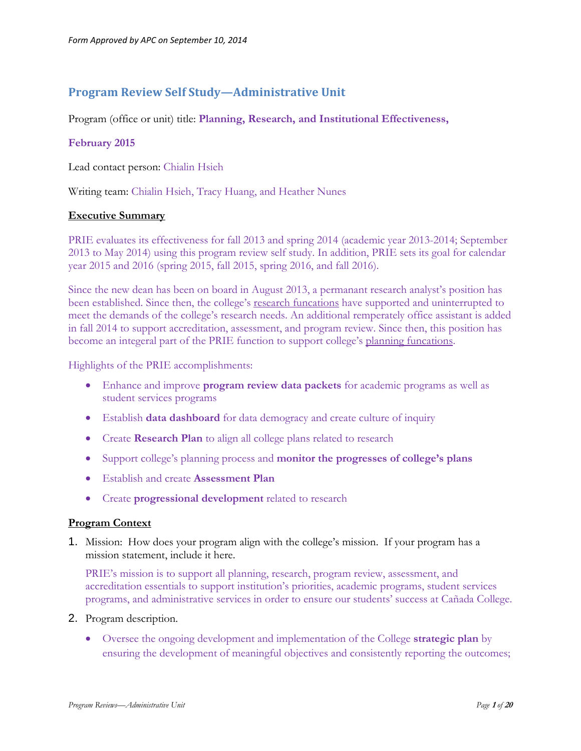# **Program Review Self Study—Administrative Unit**

Program (office or unit) title: **Planning, Research, and Institutional Effectiveness,**

# **February 2015**

Lead contact person: Chialin Hsieh

Writing team: Chialin Hsieh, Tracy Huang, and Heather Nunes

### **Executive Summary**

PRIE evaluates its effectiveness for fall 2013 and spring 2014 (academic year 2013-2014; September 2013 to May 2014) using this program review self study. In addition, PRIE sets its goal for calendar year 2015 and 2016 (spring 2015, fall 2015, spring 2016, and fall 2016).

Since the new dean has been on board in August 2013, a permanant research analyst's position has been established. Since then, the college's research funcations have supported and uninterrupted to meet the demands of the college's research needs. An additional remperately office assistant is added in fall 2014 to support accreditation, assessment, and program review. Since then, this position has become an integeral part of the PRIE function to support college's planning funcations.

Highlights of the PRIE accomplishments:

- Enhance and improve **program review data packets** for academic programs as well as student services programs
- Establish **data dashboard** for data demogracy and create culture of inquiry
- Create **Research Plan** to align all college plans related to research
- Support college's planning process and **monitor the progresses of college's plans**
- Establish and create **Assessment Plan**
- Create **progressional development** related to research

### **Program Context**

1. Mission: How does your program align with the college's mission. If your program has a mission statement, include it here.

PRIE's mission is to support all planning, research, program review, assessment, and accreditation essentials to support institution's priorities, academic programs, student services programs, and administrative services in order to ensure our students' success at Cañada College.

- 2. Program description.
	- Oversee the ongoing development and implementation of the College **strategic plan** by ensuring the development of meaningful objectives and consistently reporting the outcomes;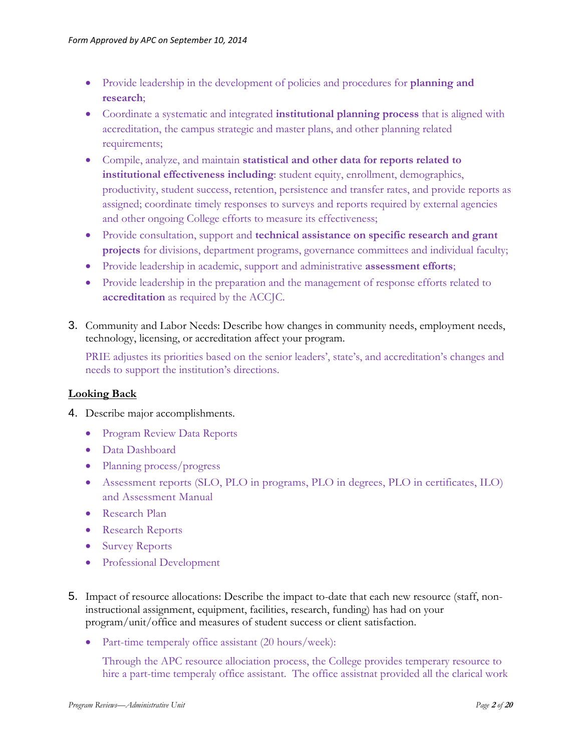- Provide leadership in the development of policies and procedures for **planning and research**;
- Coordinate a systematic and integrated **institutional planning process** that is aligned with accreditation, the campus strategic and master plans, and other planning related requirements;
- Compile, analyze, and maintain **statistical and other data for reports related to institutional effectiveness including**: student equity, enrollment, demographics, productivity, student success, retention, persistence and transfer rates, and provide reports as assigned; coordinate timely responses to surveys and reports required by external agencies and other ongoing College efforts to measure its effectiveness;
- Provide consultation, support and **technical assistance on specific research and grant projects** for divisions, department programs, governance committees and individual faculty;
- Provide leadership in academic, support and administrative **assessment efforts**;
- Provide leadership in the preparation and the management of response efforts related to **accreditation** as required by the ACCJC.
- 3. Community and Labor Needs: Describe how changes in community needs, employment needs, technology, licensing, or accreditation affect your program.

PRIE adjustes its priorities based on the senior leaders', state's, and accreditation's changes and needs to support the institution's directions.

# **Looking Back**

- 4. Describe major accomplishments.
	- Program Review Data Reports
	- Data Dashboard
	- Planning process/progress
	- Assessment reports (SLO, PLO in programs, PLO in degrees, PLO in certificates, ILO) and Assessment Manual
	- Research Plan
	- Research Reports
	- Survey Reports
	- Professional Development
- 5. Impact of resource allocations: Describe the impact to-date that each new resource (staff, noninstructional assignment, equipment, facilities, research, funding) has had on your program/unit/office and measures of student success or client satisfaction.
	- Part-time temperaly office assistant (20 hours/week):

Through the APC resource allociation process, the College provides temperary resource to hire a part-time temperaly office assistant. The office assistnat provided all the clarical work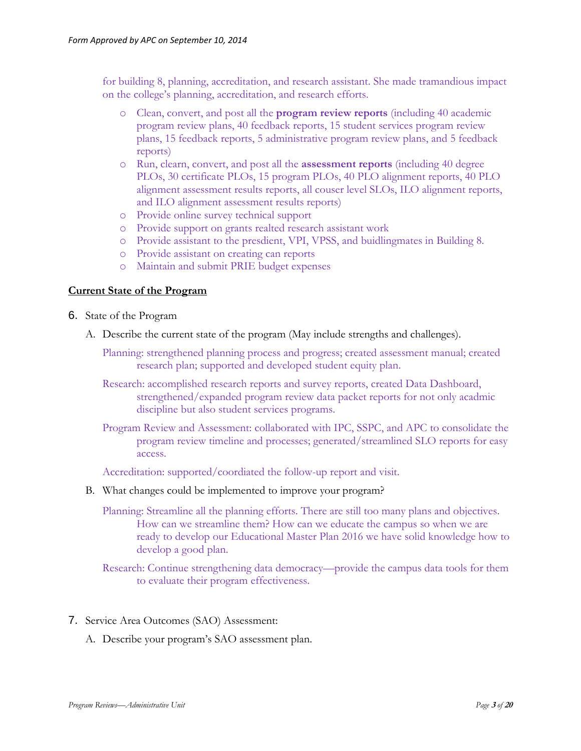for building 8, planning, accreditation, and research assistant. She made tramandious impact on the college's planning, accreditation, and research efforts.

- o Clean, convert, and post all the **program review reports** (including 40 academic program review plans, 40 feedback reports, 15 student services program review plans, 15 feedback reports, 5 administrative program review plans, and 5 feedback reports)
- o Run, clearn, convert, and post all the **assessment reports** (including 40 degree PLOs, 30 certificate PLOs, 15 program PLOs, 40 PLO alignment reports, 40 PLO alignment assessment results reports, all couser level SLOs, ILO alignment reports, and ILO alignment assessment results reports)
- o Provide online survey technical support
- o Provide support on grants realted research assistant work
- o Provide assistant to the presdient, VPI, VPSS, and buidlingmates in Building 8.
- o Provide assistant on creating can reports
- o Maintain and submit PRIE budget expenses

### **Current State of the Program**

- 6. State of the Program
	- A. Describe the current state of the program (May include strengths and challenges).

Planning: strengthened planning process and progress; created assessment manual; created research plan; supported and developed student equity plan.

Research: accomplished research reports and survey reports, created Data Dashboard, strengthened/expanded program review data packet reports for not only acadmic discipline but also student services programs.

Program Review and Assessment: collaborated with IPC, SSPC, and APC to consolidate the program review timeline and processes; generated/streamlined SLO reports for easy access.

Accreditation: supported/coordiated the follow-up report and visit.

B. What changes could be implemented to improve your program?

Planning: Streamline all the planning efforts. There are still too many plans and objectives. How can we streamline them? How can we educate the campus so when we are ready to develop our Educational Master Plan 2016 we have solid knowledge how to develop a good plan.

Research: Continue strengthening data democracy—provide the campus data tools for them to evaluate their program effectiveness.

- 7. Service Area Outcomes (SAO) Assessment:
	- A. Describe your program's SAO assessment plan.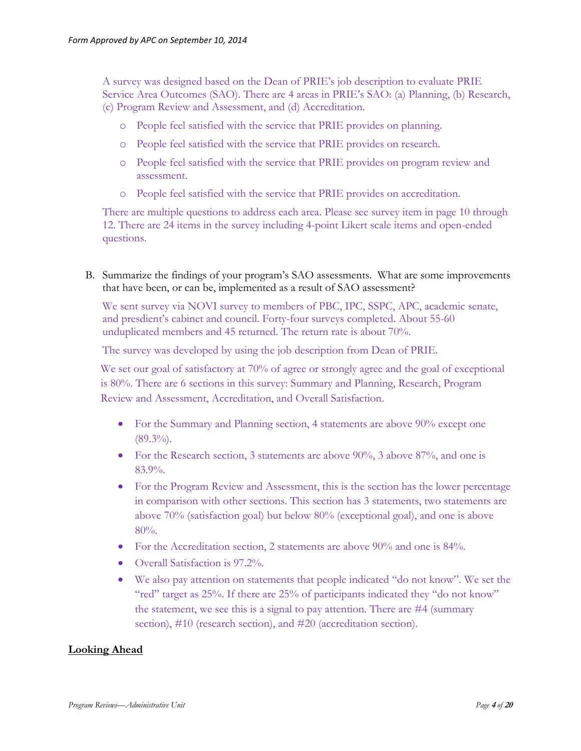A survey was designed based on the Dean of PRIE's job description to evaluate PRIE Service Area Outcomes (SAO). There are 4 areas in PRIE's SAO: (a) Planning, (b) Research, (c) Program Review and Assessment, and (d) Accreditation.

- o People feel satisfied with the service that PRIE provides on planning.
- o People feel satisfied with the service that PRIE provides on research.
- o People feel satisfied with the service that PRIE provides on program review and assessment.
- o People feel satisfied with the service that PRIE provides on accreditation.

There are multiple questions to address each area. Please see survey item in page 10 through 12. There are 24 items in the survey including 4-point Likert scale items and open-ended questions.

B. Summarize the findings of your program's SAO assessments. What are some improvements that have been, or can be, implemented as a result of SAO assessment?

We sent survey via NOVI survey to members of PBC, IPC, SSPC, APC, academic senate, and presdient's cabinet and council. Forty-four surveys completed. About 55-60 unduplicated members and 45 returned. The return rate is about 70%.

The survey was developed by using the job description from Dean of PRIE.

We set our goal of satisfactory at 70% of agree or strongly agree and the goal of exceptional is 80%. There are 6 sections in this survey: Summary and Planning, Research, Program Review and Assessment, Accreditation, and Overall Satisfaction.

- For the Summary and Planning section, 4 statements are above 90% except one  $(89.3\%)$ .
- For the Research section, 3 statements are above 90%, 3 above 87%, and one is 83.9%.
- For the Program Review and Assessment, this is the section has the lower percentage in comparison with other sections. This section has 3 statements, two statements are above 70% (satisfaction goal) but below 80% (exceptional goal), and one is above 80%.
- For the Accreditation section, 2 statements are above 90% and one is 84%.
- Overall Satisfaction is 97.2%.
- We also pay attention on statements that people indicated "do not know". We set the "red" target as 25%. If there are 25% of participants indicated they "do not know" the statement, we see this is a signal to pay attention. There are #4 (summary section), #10 (research section), and #20 (accreditation section).

# **Looking Ahead**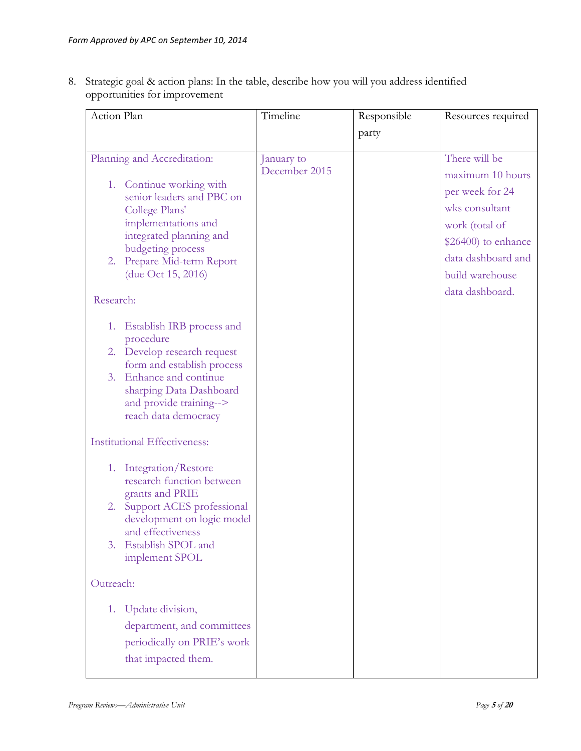8. Strategic goal & action plans: In the table, describe how you will you address identified opportunities for improvement

| Action Plan                                                                                                                                                                                                                                       | Timeline                    | Responsible | Resources required                                                                                                                                                          |  |  |  |
|---------------------------------------------------------------------------------------------------------------------------------------------------------------------------------------------------------------------------------------------------|-----------------------------|-------------|-----------------------------------------------------------------------------------------------------------------------------------------------------------------------------|--|--|--|
|                                                                                                                                                                                                                                                   |                             | party       |                                                                                                                                                                             |  |  |  |
| Planning and Accreditation:<br>1. Continue working with<br>senior leaders and PBC on<br>College Plans'<br>implementations and<br>integrated planning and<br>budgeting process<br>Prepare Mid-term Report<br>2.<br>(due Oct 15, 2016)<br>Research: | January to<br>December 2015 |             | There will be<br>maximum 10 hours<br>per week for 24<br>wks consultant<br>work (total of<br>\$26400) to enhance<br>data dashboard and<br>build warehouse<br>data dashboard. |  |  |  |
| Establish IRB process and<br>1.<br>procedure<br>2. Develop research request<br>form and establish process<br>Enhance and continue<br>3.<br>sharping Data Dashboard<br>and provide training--><br>reach data democracy                             |                             |             |                                                                                                                                                                             |  |  |  |
| <b>Institutional Effectiveness:</b>                                                                                                                                                                                                               |                             |             |                                                                                                                                                                             |  |  |  |
| Integration/Restore<br>1.<br>research function between<br>grants and PRIE<br>Support ACES professional<br>2.<br>development on logic model<br>and effectiveness<br>Establish SPOL and<br>3.<br>implement SPOL                                     |                             |             |                                                                                                                                                                             |  |  |  |
| Outreach:                                                                                                                                                                                                                                         |                             |             |                                                                                                                                                                             |  |  |  |
| Update division,<br>1.<br>department, and committees<br>periodically on PRIE's work<br>that impacted them.                                                                                                                                        |                             |             |                                                                                                                                                                             |  |  |  |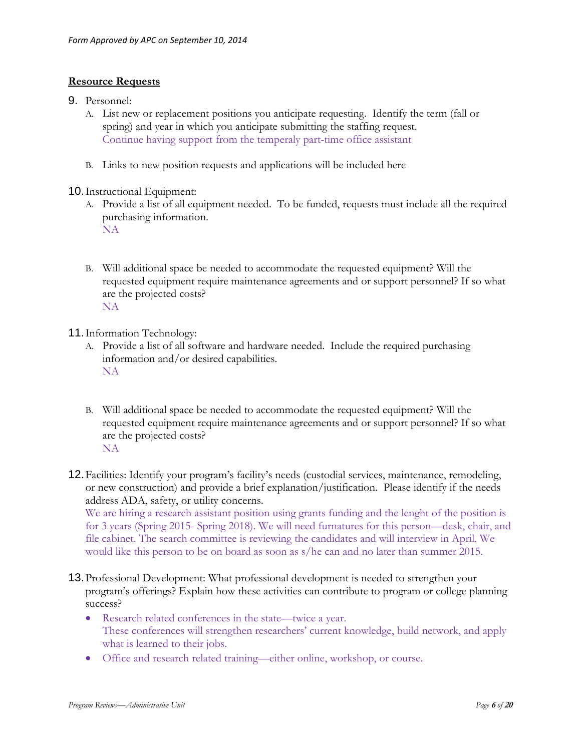# **Resource Requests**

- 9. Personnel:
	- A. List new or replacement positions you anticipate requesting. Identify the term (fall or spring) and year in which you anticipate submitting the staffing request. Continue having support from the temperaly part-time office assistant
	- B. Links to new position requests and applications will be included here

### 10.Instructional Equipment:

- A. Provide a list of all equipment needed. To be funded, requests must include all the required purchasing information. NA
- B. Will additional space be needed to accommodate the requested equipment? Will the requested equipment require maintenance agreements and or support personnel? If so what are the projected costs? NA
- 11.Information Technology:
	- A. Provide a list of all software and hardware needed. Include the required purchasing information and/or desired capabilities. NA
	- B. Will additional space be needed to accommodate the requested equipment? Will the requested equipment require maintenance agreements and or support personnel? If so what are the projected costs? NA
- 12.Facilities: Identify your program's facility's needs (custodial services, maintenance, remodeling, or new construction) and provide a brief explanation/justification. Please identify if the needs address ADA, safety, or utility concerns.

We are hiring a research assistant position using grants funding and the lenght of the position is for 3 years (Spring 2015- Spring 2018). We will need furnatures for this person—desk, chair, and file cabinet. The search committee is reviewing the candidates and will interview in April. We would like this person to be on board as soon as s/he can and no later than summer 2015.

- 13.Professional Development: What professional development is needed to strengthen your program's offerings? Explain how these activities can contribute to program or college planning success?
	- Research related conferences in the state—twice a year. These conferences will strengthen researchers' current knowledge, build network, and apply what is learned to their jobs.
	- Office and research related training—either online, workshop, or course.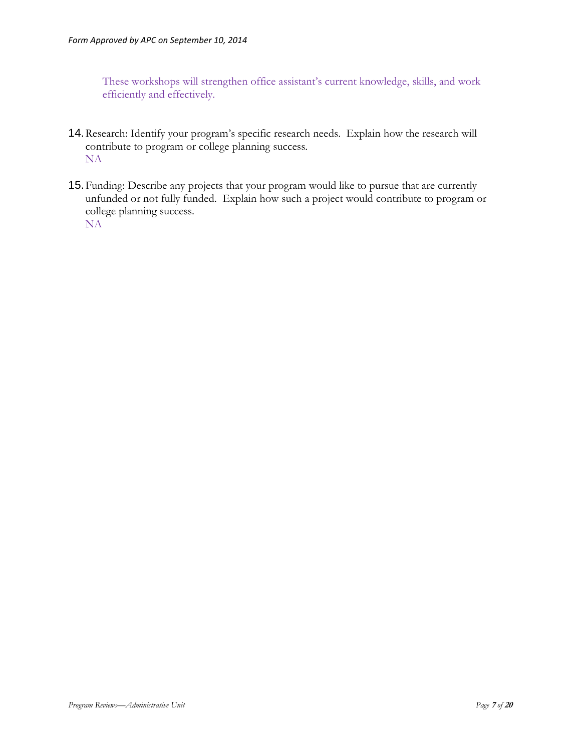These workshops will strengthen office assistant's current knowledge, skills, and work efficiently and effectively.

- 14.Research: Identify your program's specific research needs. Explain how the research will contribute to program or college planning success. NA
- 15.Funding: Describe any projects that your program would like to pursue that are currently unfunded or not fully funded. Explain how such a project would contribute to program or college planning success. NA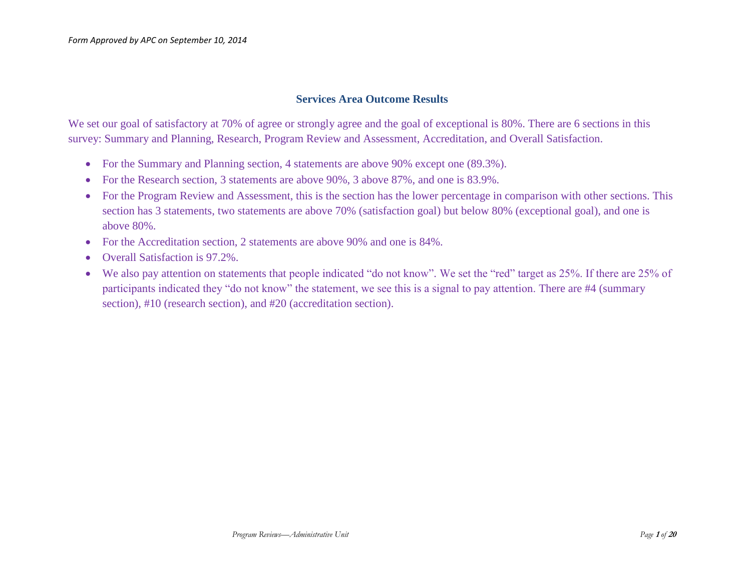# **Services Area Outcome Results**

We set our goal of satisfactory at 70% of agree or strongly agree and the goal of exceptional is 80%. There are 6 sections in this survey: Summary and Planning, Research, Program Review and Assessment, Accreditation, and Overall Satisfaction.

- For the Summary and Planning section, 4 statements are above 90% except one (89.3%).
- For the Research section, 3 statements are above 90%, 3 above 87%, and one is 83.9%.
- For the Program Review and Assessment, this is the section has the lower percentage in comparison with other sections. This section has 3 statements, two statements are above 70% (satisfaction goal) but below 80% (exceptional goal), and one is above 80%.
- For the Accreditation section, 2 statements are above 90% and one is 84%.
- Overall Satisfaction is 97.2%.
- We also pay attention on statements that people indicated "do not know". We set the "red" target as 25%. If there are 25% of participants indicated they "do not know" the statement, we see this is a signal to pay attention. There are #4 (summary section), #10 (research section), and #20 (accreditation section).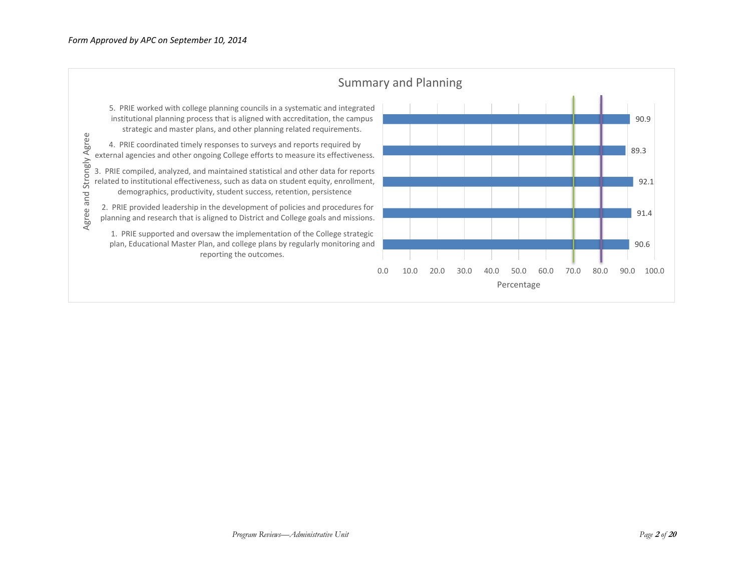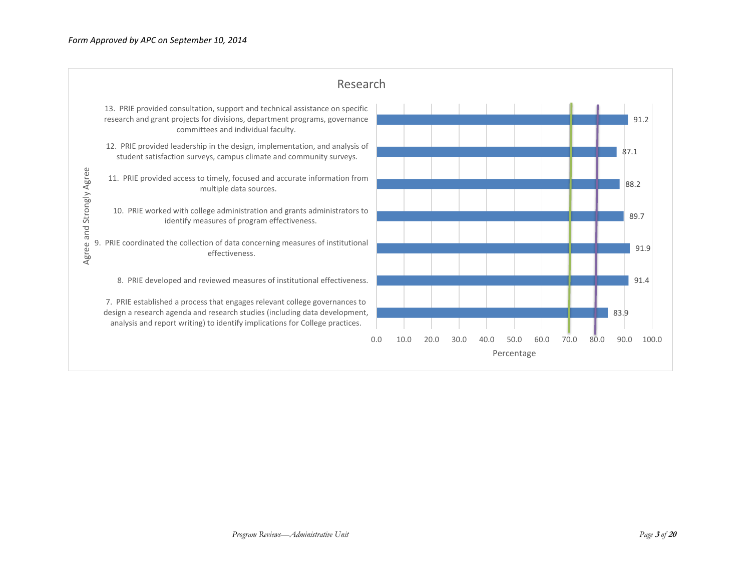|                          | Research                                                                                                                                                                                                                                 |     |      |      |      |      |                    |      |      |      |               |
|--------------------------|------------------------------------------------------------------------------------------------------------------------------------------------------------------------------------------------------------------------------------------|-----|------|------|------|------|--------------------|------|------|------|---------------|
|                          | 13. PRIE provided consultation, support and technical assistance on specific<br>research and grant projects for divisions, department programs, governance<br>committees and individual faculty.                                         |     |      |      |      |      |                    |      |      |      | 91.2          |
|                          | 12. PRIE provided leadership in the design, implementation, and analysis of<br>student satisfaction surveys, campus climate and community surveys.                                                                                       |     |      |      |      |      |                    |      |      |      | 87.1          |
|                          | 11. PRIE provided access to timely, focused and accurate information from<br>multiple data sources.                                                                                                                                      |     |      |      |      |      |                    |      |      |      | 88.2          |
| Agree and Strongly Agree | 10. PRIE worked with college administration and grants administrators to<br>identify measures of program effectiveness.                                                                                                                  |     |      |      |      |      |                    |      |      |      | 89.7          |
|                          | 9. PRIE coordinated the collection of data concerning measures of institutional<br>effectiveness.                                                                                                                                        |     |      |      |      |      |                    |      |      |      | 91.9          |
|                          | 8. PRIE developed and reviewed measures of institutional effectiveness.                                                                                                                                                                  |     |      |      |      |      |                    |      |      |      | 91.4          |
|                          | 7. PRIE established a process that engages relevant college governances to<br>design a research agenda and research studies (including data development,<br>analysis and report writing) to identify implications for College practices. |     |      |      |      |      |                    |      |      |      | 83.9          |
|                          |                                                                                                                                                                                                                                          | 0.0 | 10.0 | 20.0 | 30.0 | 40.0 | 50.0<br>Percentage | 60.0 | 70.0 | 80.0 | 90.0<br>100.0 |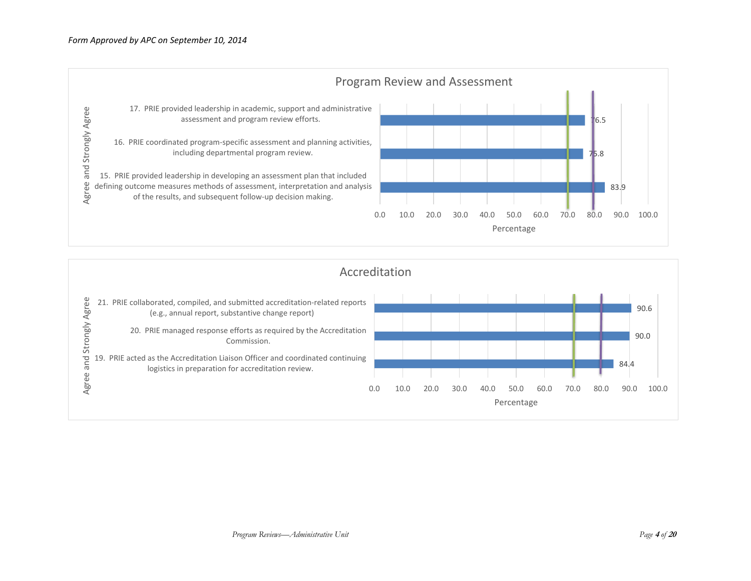

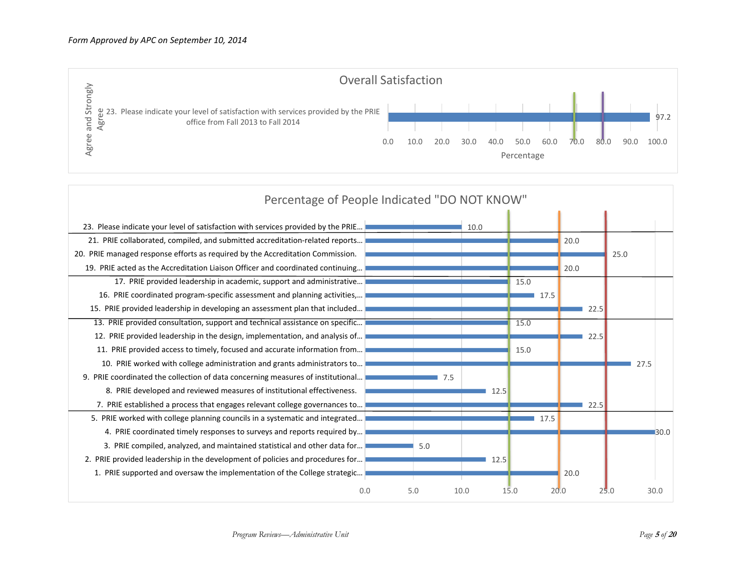

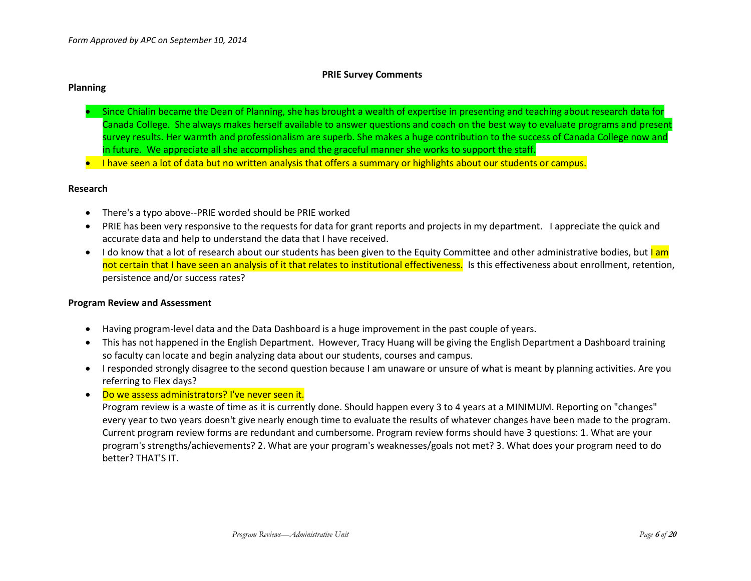#### **PRIE Survey Comments**

#### **Planning**

- Since Chialin became the Dean of Planning, she has brought a wealth of expertise in presenting and teaching about research data for Canada College. She always makes herself available to answer questions and coach on the best way to evaluate programs and present survey results. Her warmth and professionalism are superb. She makes a huge contribution to the success of Canada College now and in future. We appreciate all she accomplishes and the graceful manner she works to support the staff.
- **I have seen a lot of data but no written analysis that offers a summary or highlights about our students or campus.**

#### **Research**

- There's a typo above--PRIE worded should be PRIE worked
- PRIE has been very responsive to the requests for data for grant reports and projects in my department. I appreciate the quick and accurate data and help to understand the data that I have received.
- I do know that a lot of research about our students has been given to the Equity Committee and other administrative bodies, but  $\frac{\text{I am}}{\text{I am}}$ not certain that I have seen an analysis of it that relates to institutional effectiveness. Is this effectiveness about enrollment, retention, persistence and/or success rates?

#### **Program Review and Assessment**

- Having program-level data and the Data Dashboard is a huge improvement in the past couple of years.
- This has not happened in the English Department. However, Tracy Huang will be giving the English Department a Dashboard training so faculty can locate and begin analyzing data about our students, courses and campus.
- I responded strongly disagree to the second question because I am unaware or unsure of what is meant by planning activities. Are you referring to Flex days?
- . Do we assess administrators? I've never seen it.

Program review is a waste of time as it is currently done. Should happen every 3 to 4 years at a MINIMUM. Reporting on "changes" every year to two years doesn't give nearly enough time to evaluate the results of whatever changes have been made to the program. Current program review forms are redundant and cumbersome. Program review forms should have 3 questions: 1. What are your program's strengths/achievements? 2. What are your program's weaknesses/goals not met? 3. What does your program need to do better? THAT'S IT.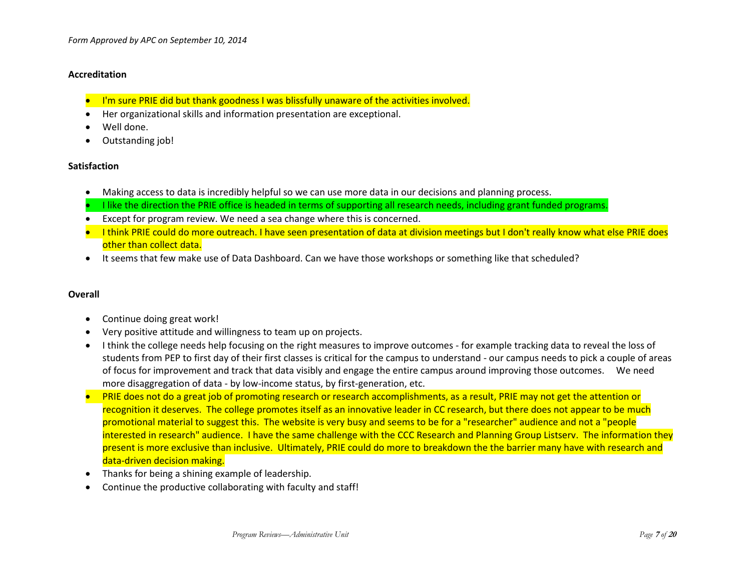### **Accreditation**

- I'm sure PRIE did but thank goodness I was blissfully unaware of the activities involved.
- Her organizational skills and information presentation are exceptional.
- Well done.
- Outstanding job!

### **Satisfaction**

- Making access to data is incredibly helpful so we can use more data in our decisions and planning process.
- I like the direction the PRIE office is headed in terms of supporting all research needs, including grant funded programs.
- Except for program review. We need a sea change where this is concerned.
- I think PRIE could do more outreach. I have seen presentation of data at division meetings but I don't really know what else PRIE does other than collect data.
- It seems that few make use of Data Dashboard. Can we have those workshops or something like that scheduled?

### **Overall**

- Continue doing great work!
- Very positive attitude and willingness to team up on projects.
- I think the college needs help focusing on the right measures to improve outcomes for example tracking data to reveal the loss of students from PEP to first day of their first classes is critical for the campus to understand - our campus needs to pick a couple of areas of focus for improvement and track that data visibly and engage the entire campus around improving those outcomes. We need more disaggregation of data - by low-income status, by first-generation, etc.
- PRIE does not do a great job of promoting research or research accomplishments, as a result, PRIE may not get the attention or recognition it deserves. The college promotes itself as an innovative leader in CC research, but there does not appear to be much promotional material to suggest this. The website is very busy and seems to be for a "researcher" audience and not a "people interested in research" audience. I have the same challenge with the CCC Research and Planning Group Listserv. The information they present is more exclusive than inclusive. Ultimately, PRIE could do more to breakdown the the barrier many have with research and data-driven decision making.
- Thanks for being a shining example of leadership.
- Continue the productive collaborating with faculty and staff!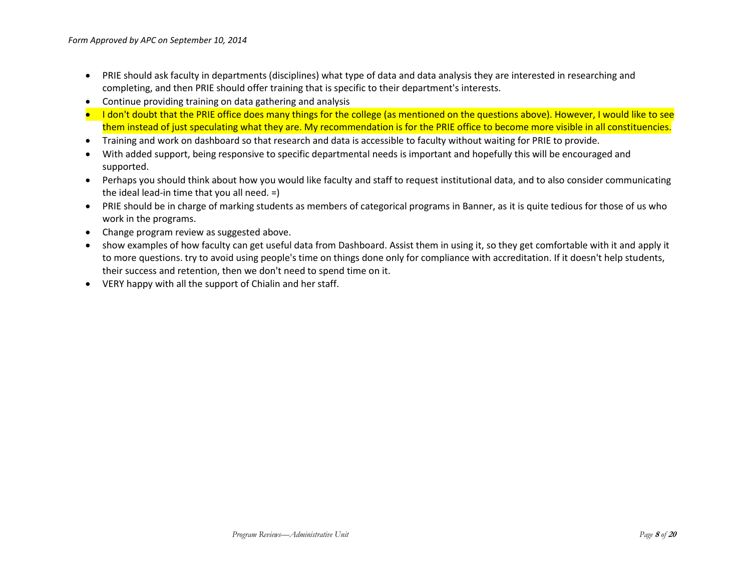- PRIE should ask faculty in departments (disciplines) what type of data and data analysis they are interested in researching and completing, and then PRIE should offer training that is specific to their department's interests.
- Continue providing training on data gathering and analysis
- **I** don't doubt that the PRIE office does many things for the college (as mentioned on the questions above). However, I would like to see them instead of just speculating what they are. My recommendation is for the PRIE office to become more visible in all constituencies.
- Training and work on dashboard so that research and data is accessible to faculty without waiting for PRIE to provide.
- With added support, being responsive to specific departmental needs is important and hopefully this will be encouraged and supported.
- Perhaps you should think about how you would like faculty and staff to request institutional data, and to also consider communicating the ideal lead-in time that you all need. =)
- PRIE should be in charge of marking students as members of categorical programs in Banner, as it is quite tedious for those of us who work in the programs.
- Change program review as suggested above.
- show examples of how faculty can get useful data from Dashboard. Assist them in using it, so they get comfortable with it and apply it to more questions. try to avoid using people's time on things done only for compliance with accreditation. If it doesn't help students, their success and retention, then we don't need to spend time on it.
- VERY happy with all the support of Chialin and her staff.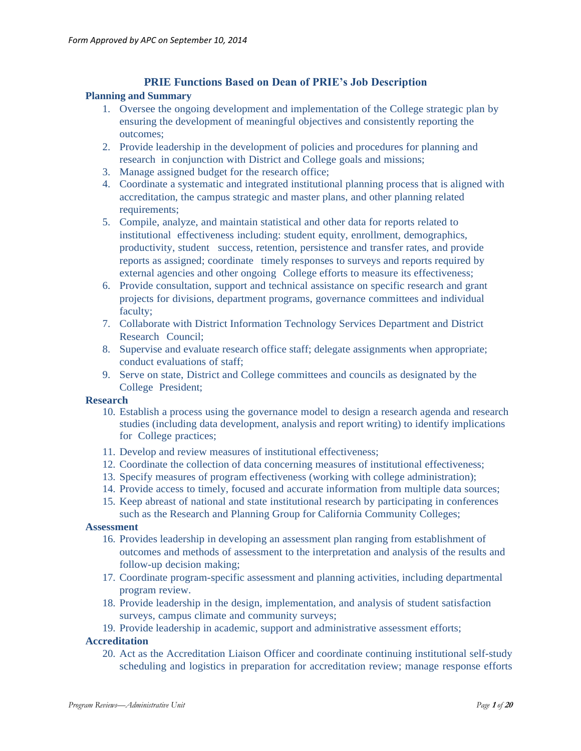### **PRIE Functions Based on Dean of PRIE's Job Description**

### **Planning and Summary**

- 1. Oversee the ongoing development and implementation of the College strategic plan by ensuring the development of meaningful objectives and consistently reporting the outcomes;
- 2. Provide leadership in the development of policies and procedures for planning and research in conjunction with District and College goals and missions;
- 3. Manage assigned budget for the research office;
- 4. Coordinate a systematic and integrated institutional planning process that is aligned with accreditation, the campus strategic and master plans, and other planning related requirements;
- 5. Compile, analyze, and maintain statistical and other data for reports related to institutional effectiveness including: student equity, enrollment, demographics, productivity, student success, retention, persistence and transfer rates, and provide reports as assigned; coordinate timely responses to surveys and reports required by external agencies and other ongoing College efforts to measure its effectiveness;
- 6. Provide consultation, support and technical assistance on specific research and grant projects for divisions, department programs, governance committees and individual faculty;
- 7. Collaborate with District Information Technology Services Department and District Research Council;
- 8. Supervise and evaluate research office staff; delegate assignments when appropriate; conduct evaluations of staff;
- 9. Serve on state, District and College committees and councils as designated by the College President;

### **Research**

- 10. Establish a process using the governance model to design a research agenda and research studies (including data development, analysis and report writing) to identify implications for College practices;
- 11. Develop and review measures of institutional effectiveness;
- 12. Coordinate the collection of data concerning measures of institutional effectiveness;
- 13. Specify measures of program effectiveness (working with college administration);
- 14. Provide access to timely, focused and accurate information from multiple data sources;
- 15. Keep abreast of national and state institutional research by participating in conferences such as the Research and Planning Group for California Community Colleges;

### **Assessment**

- 16. Provides leadership in developing an assessment plan ranging from establishment of outcomes and methods of assessment to the interpretation and analysis of the results and follow-up decision making;
- 17. Coordinate program-specific assessment and planning activities, including departmental program review.
- 18. Provide leadership in the design, implementation, and analysis of student satisfaction surveys, campus climate and community surveys;
- 19. Provide leadership in academic, support and administrative assessment efforts;

### **Accreditation**

20. Act as the Accreditation Liaison Officer and coordinate continuing institutional self-study scheduling and logistics in preparation for accreditation review; manage response efforts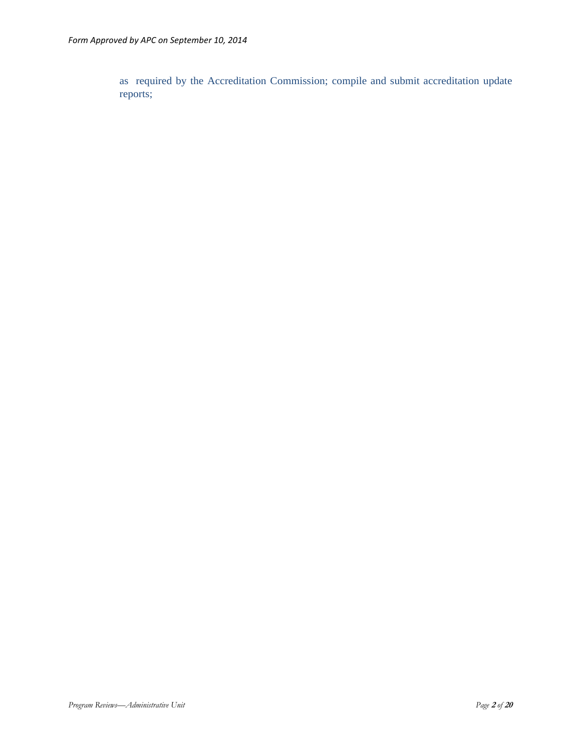as required by the Accreditation Commission; compile and submit accreditation update reports;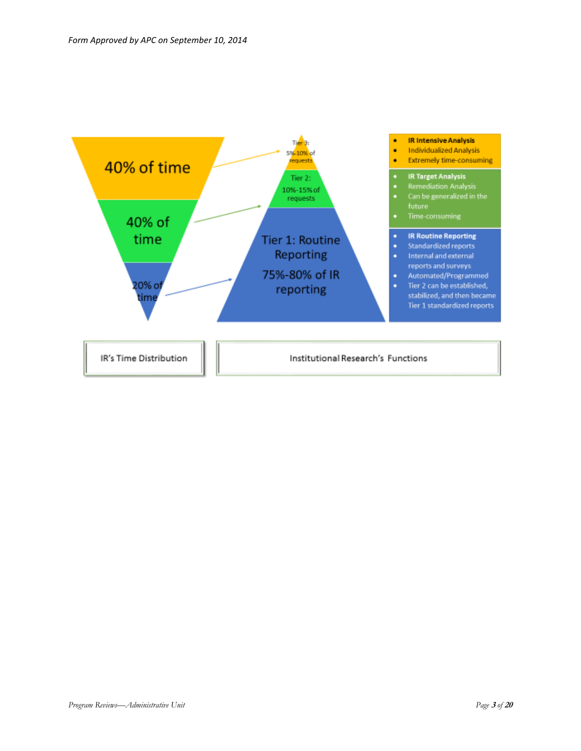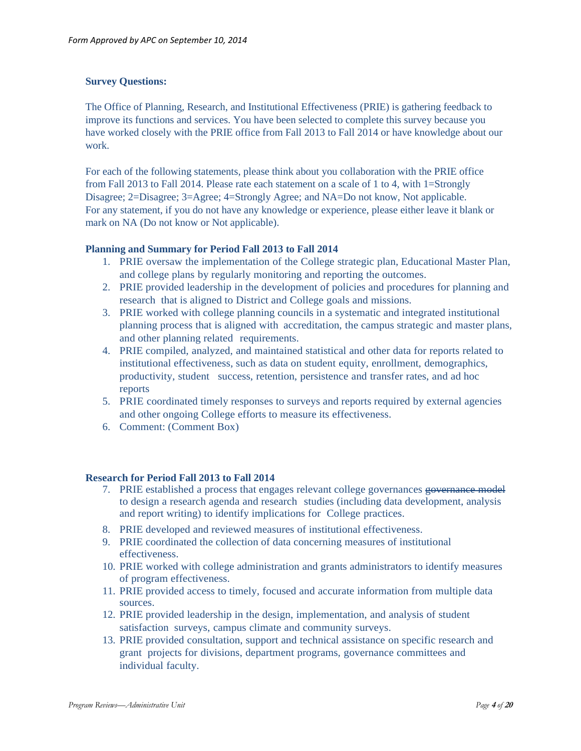### **Survey Questions:**

The Office of Planning, Research, and Institutional Effectiveness (PRIE) is gathering feedback to improve its functions and services. You have been selected to complete this survey because you have worked closely with the PRIE office from Fall 2013 to Fall 2014 or have knowledge about our work.

For each of the following statements, please think about you collaboration with the PRIE office from Fall 2013 to Fall 2014. Please rate each statement on a scale of 1 to 4, with 1=Strongly Disagree; 2=Disagree; 3=Agree; 4=Strongly Agree; and NA=Do not know, Not applicable. For any statement, if you do not have any knowledge or experience, please either leave it blank or mark on NA (Do not know or Not applicable).

### **Planning and Summary for Period Fall 2013 to Fall 2014**

- 1. PRIE oversaw the implementation of the College strategic plan, Educational Master Plan, and college plans by regularly monitoring and reporting the outcomes.
- 2. PRIE provided leadership in the development of policies and procedures for planning and research that is aligned to District and College goals and missions.
- 3. PRIE worked with college planning councils in a systematic and integrated institutional planning process that is aligned with accreditation, the campus strategic and master plans, and other planning related requirements.
- 4. PRIE compiled, analyzed, and maintained statistical and other data for reports related to institutional effectiveness, such as data on student equity, enrollment, demographics, productivity, student success, retention, persistence and transfer rates, and ad hoc reports
- 5. PRIE coordinated timely responses to surveys and reports required by external agencies and other ongoing College efforts to measure its effectiveness.
- 6. Comment: (Comment Box)

### **Research for Period Fall 2013 to Fall 2014**

- 7. PRIE established a process that engages relevant college governances governance model to design a research agenda and research studies (including data development, analysis and report writing) to identify implications for College practices.
- 8. PRIE developed and reviewed measures of institutional effectiveness.
- 9. PRIE coordinated the collection of data concerning measures of institutional effectiveness.
- 10. PRIE worked with college administration and grants administrators to identify measures of program effectiveness.
- 11. PRIE provided access to timely, focused and accurate information from multiple data sources.
- 12. PRIE provided leadership in the design, implementation, and analysis of student satisfaction surveys, campus climate and community surveys.
- 13. PRIE provided consultation, support and technical assistance on specific research and grant projects for divisions, department programs, governance committees and individual faculty.